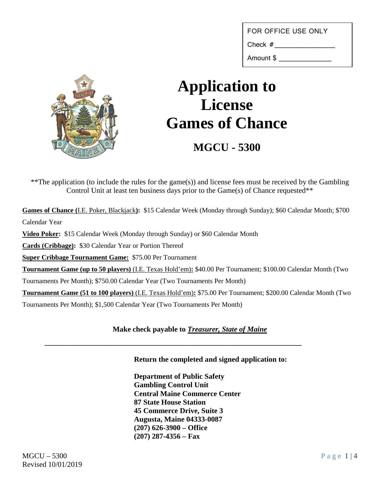FOR OFFICE USE ONLY

Check #

Amount \$ \_\_\_\_\_\_\_\_\_\_\_\_\_



## **Application to License Games of Chance**

**MGCU - 5300**

\*\*The application (to include the rules for the game(s)) and license fees must be received by the Gambling Control Unit at least ten business days prior to the Game(s) of Chance requested\*\*

**Games of Chance (**I.E. Poker, Blackjack**):** \$15 Calendar Week (Monday through Sunday); \$60 Calendar Month; \$700 Calendar Year

**Video Poker:** \$15 Calendar Week (Monday through Sunday) or \$60 Calendar Month

**Cards (Cribbage):** \$30 Calendar Year or Portion Thereof

**Super Cribbage Tournament Game:** \$75.00 Per Tournament

**Tournament Game (up to 50 players)** (I.E. Texas Hold'em)**:** \$40.00 Per Tournament; \$100.00 Calendar Month (Two

Tournaments Per Month); \$750.00 Calendar Year (Two Tournaments Per Month)

**Tournament Game (51 to 100 players)** (I.E. Texas Hold'em)**:** \$75.00 Per Tournament; \$200.00 Calendar Month (Two Tournaments Per Month); \$1,500 Calendar Year (Two Tournaments Per Month)

## **Make check payable to** *Treasurer, State of Maine*

**\_\_\_\_\_\_\_\_\_\_\_\_\_\_\_\_\_\_\_\_\_\_\_\_\_\_\_\_\_\_\_\_\_\_\_\_\_\_\_\_\_\_\_\_\_\_\_\_\_\_\_\_\_\_\_\_\_\_\_\_\_\_\_\_\_\_\_\_\_**

**Return the completed and signed application to:**

**Department of Public Safety Gambling Control Unit Central Maine Commerce Center 87 State House Station 45 Commerce Drive, Suite 3 Augusta, Maine 04333-0087 (207) 626-3900 – Office (207) 287-4356 – Fax**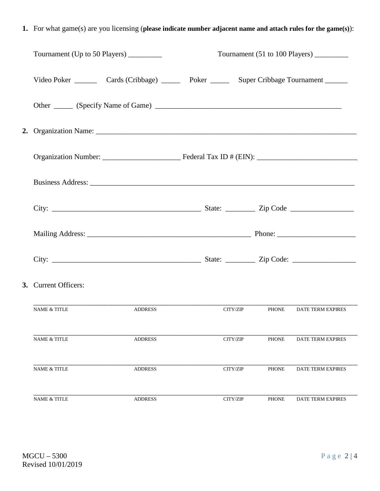**1.** For what game(s) are you licensing (**please indicate number adjacent name and attach rules for the game(s)**):

| Tournament (Up to 50 Players) ________ |                                                                                             |          |              | Tournament (51 to 100 Players) |
|----------------------------------------|---------------------------------------------------------------------------------------------|----------|--------------|--------------------------------|
|                                        | Video Poker _________ Cards (Cribbage) ______ Poker ______ Super Cribbage Tournament ______ |          |              |                                |
|                                        |                                                                                             |          |              |                                |
|                                        |                                                                                             |          |              |                                |
|                                        |                                                                                             |          |              |                                |
|                                        |                                                                                             |          |              |                                |
|                                        |                                                                                             |          |              |                                |
|                                        |                                                                                             |          |              |                                |
|                                        |                                                                                             |          |              |                                |
| 3. Current Officers:                   |                                                                                             |          |              |                                |
| <b>NAME &amp; TITLE</b>                | <b>ADDRESS</b>                                                                              | CITY/ZIP |              | PHONE DATE TERM EXPIRES        |
| <b>NAME &amp; TITLE</b>                | <b>ADDRESS</b>                                                                              | CITY/ZIP | <b>PHONE</b> | DATE TERM EXPIRES              |
| <b>NAME &amp; TITLE</b>                | <b>ADDRESS</b>                                                                              | CITY/ZIP | <b>PHONE</b> | DATE TERM EXPIRES              |
| <b>NAME &amp; TITLE</b>                | <b>ADDRESS</b>                                                                              | CITY/ZIP | <b>PHONE</b> | <b>DATE TERM EXPIRES</b>       |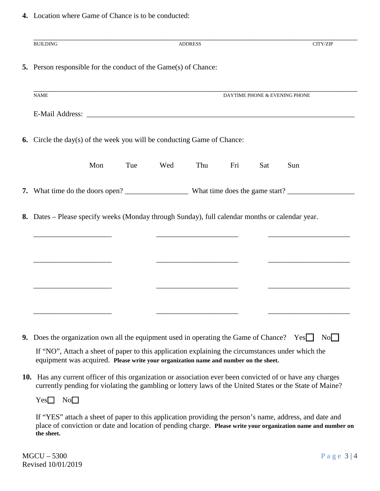**4.** Location where Game of Chance is to be conducted:

| <b>BUILDING</b>                                                                                                                                                                                                                        |            | <b>ADDRESS</b> |     |     | CITY/ZIP                      |
|----------------------------------------------------------------------------------------------------------------------------------------------------------------------------------------------------------------------------------------|------------|----------------|-----|-----|-------------------------------|
| <b>5.</b> Person responsible for the conduct of the Game(s) of Chance:                                                                                                                                                                 |            |                |     |     |                               |
| <b>NAME</b>                                                                                                                                                                                                                            |            |                |     |     | DAYTIME PHONE & EVENING PHONE |
|                                                                                                                                                                                                                                        |            |                |     |     |                               |
| <b>6.</b> Circle the day(s) of the week you will be conducting Game of Chance:                                                                                                                                                         |            |                |     |     |                               |
| Mon                                                                                                                                                                                                                                    | Tue<br>Wed | Thu            | Fri | Sat | Sun                           |
|                                                                                                                                                                                                                                        |            |                |     |     |                               |
| 8. Dates – Please specify weeks (Monday through Sunday), full calendar months or calendar year.                                                                                                                                        |            |                |     |     |                               |
|                                                                                                                                                                                                                                        |            |                |     |     |                               |
|                                                                                                                                                                                                                                        |            |                |     |     |                               |
|                                                                                                                                                                                                                                        |            |                |     |     |                               |
|                                                                                                                                                                                                                                        |            |                |     |     |                               |
|                                                                                                                                                                                                                                        |            |                |     |     |                               |
| 9. Does the organization own all the equipment used in operating the Game of Chance?                                                                                                                                                   |            |                |     |     | $\overline{N_{0}}$<br>Yes     |
| If "NO", Attach a sheet of paper to this application explaining the circumstances under which the<br>equipment was acquired. Please write your organization name and number on the sheet.                                              |            |                |     |     |                               |
| 10. Has any current officer of this organization or association ever been convicted of or have any charges<br>currently pending for violating the gambling or lottery laws of the United States or the State of Maine?                 |            |                |     |     |                               |
| $Yes \Box No \Box$                                                                                                                                                                                                                     |            |                |     |     |                               |
| If "YES" attach a sheet of paper to this application providing the person's name, address, and date and<br>place of conviction or date and location of pending charge. Please write your organization name and number on<br>the sheet. |            |                |     |     |                               |

MGCU – 5300 Page 3 | 4 Revised 10/01/2019